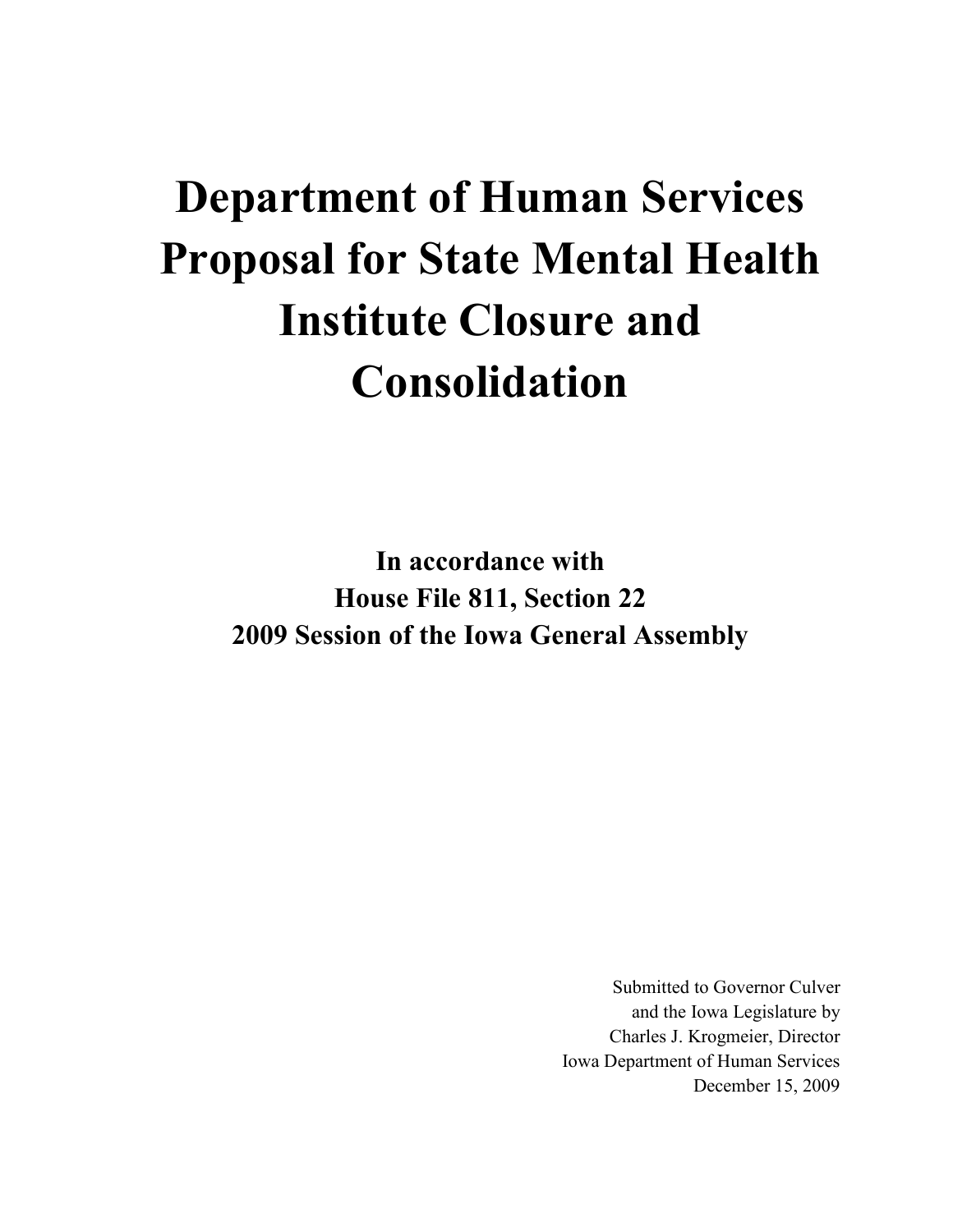# Department of Human Services Proposal for State Mental Health Institute Closure and Consolidation

In accordance with House File 811, Section 22 2009 Session of the Iowa General Assembly

> Submitted to Governor Culver and the Iowa Legislature by Charles J. Krogmeier, Director Iowa Department of Human Services December 15, 2009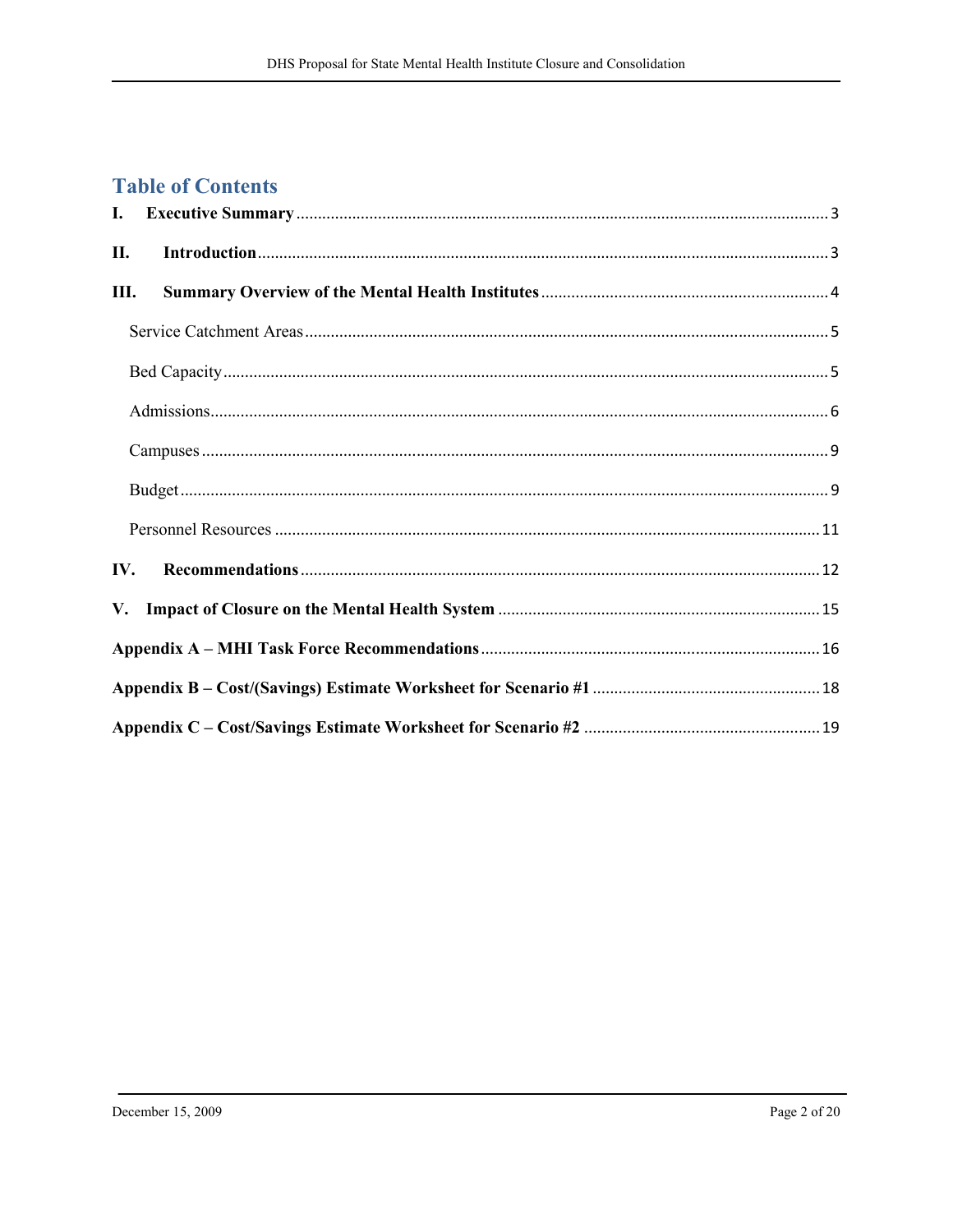# **Table of Contents**

| П.   |  |
|------|--|
| III. |  |
|      |  |
|      |  |
|      |  |
|      |  |
|      |  |
|      |  |
| IV.  |  |
|      |  |
|      |  |
|      |  |
|      |  |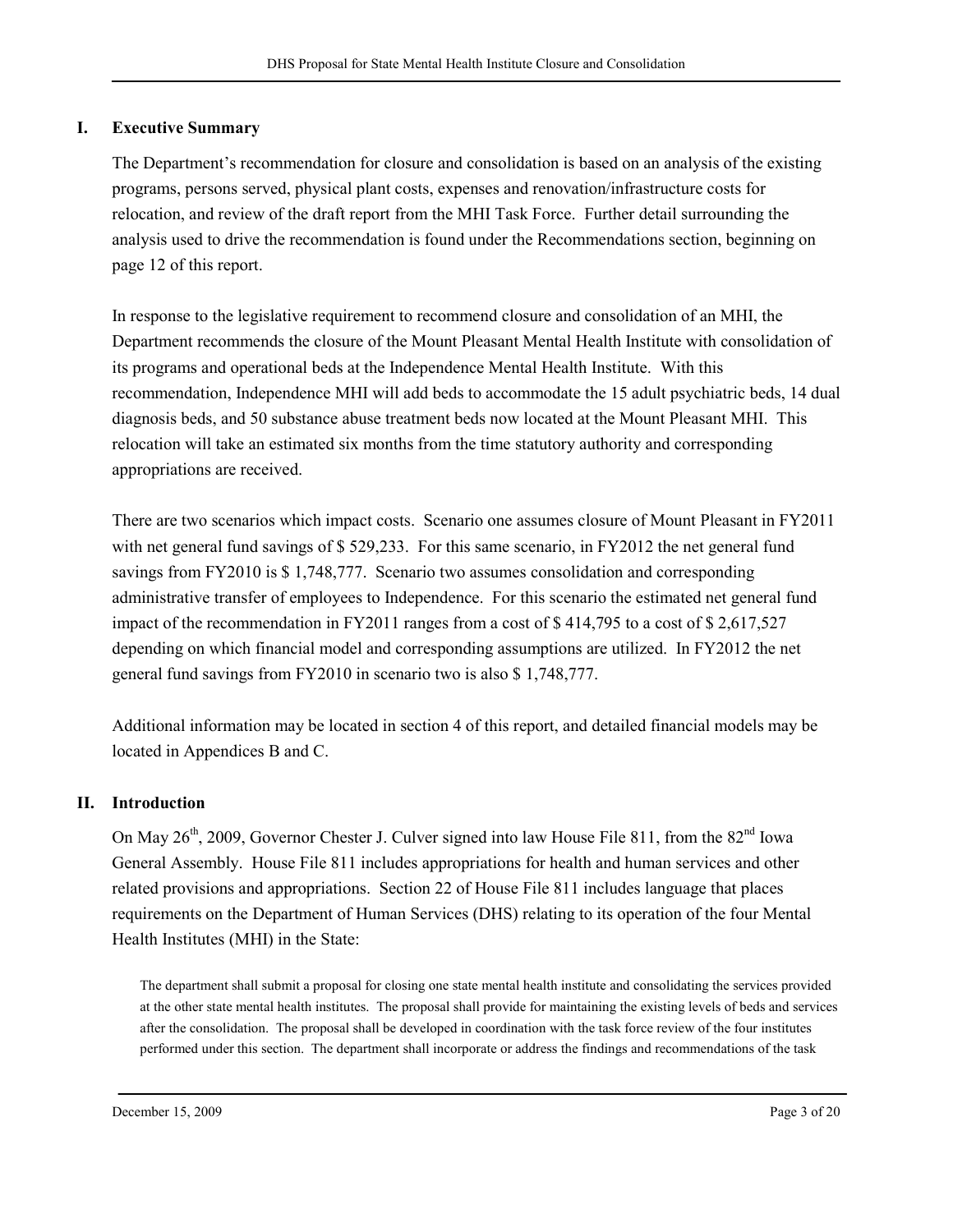#### I. Executive Summary

The Department's recommendation for closure and consolidation is based on an analysis of the existing programs, persons served, physical plant costs, expenses and renovation/infrastructure costs for relocation, and review of the draft report from the MHI Task Force. Further detail surrounding the analysis used to drive the recommendation is found under the Recommendations section, beginning on page 12 of this report.

In response to the legislative requirement to recommend closure and consolidation of an MHI, the Department recommends the closure of the Mount Pleasant Mental Health Institute with consolidation of its programs and operational beds at the Independence Mental Health Institute. With this recommendation, Independence MHI will add beds to accommodate the 15 adult psychiatric beds, 14 dual diagnosis beds, and 50 substance abuse treatment beds now located at the Mount Pleasant MHI. This relocation will take an estimated six months from the time statutory authority and corresponding appropriations are received.

There are two scenarios which impact costs. Scenario one assumes closure of Mount Pleasant in FY2011 with net general fund savings of \$529,233. For this same scenario, in FY2012 the net general fund savings from FY2010 is \$ 1,748,777. Scenario two assumes consolidation and corresponding administrative transfer of employees to Independence. For this scenario the estimated net general fund impact of the recommendation in FY2011 ranges from a cost of \$ 414,795 to a cost of \$ 2,617,527 depending on which financial model and corresponding assumptions are utilized. In FY2012 the net general fund savings from FY2010 in scenario two is also \$ 1,748,777.

Additional information may be located in section 4 of this report, and detailed financial models may be located in Appendices B and C.

#### II. Introduction

On May  $26<sup>th</sup>$ , 2009, Governor Chester J. Culver signed into law House File 811, from the  $82<sup>nd</sup>$  Iowa General Assembly. House File 811 includes appropriations for health and human services and other related provisions and appropriations. Section 22 of House File 811 includes language that places requirements on the Department of Human Services (DHS) relating to its operation of the four Mental Health Institutes (MHI) in the State:

The department shall submit a proposal for closing one state mental health institute and consolidating the services provided at the other state mental health institutes. The proposal shall provide for maintaining the existing levels of beds and services after the consolidation. The proposal shall be developed in coordination with the task force review of the four institutes performed under this section. The department shall incorporate or address the findings and recommendations of the task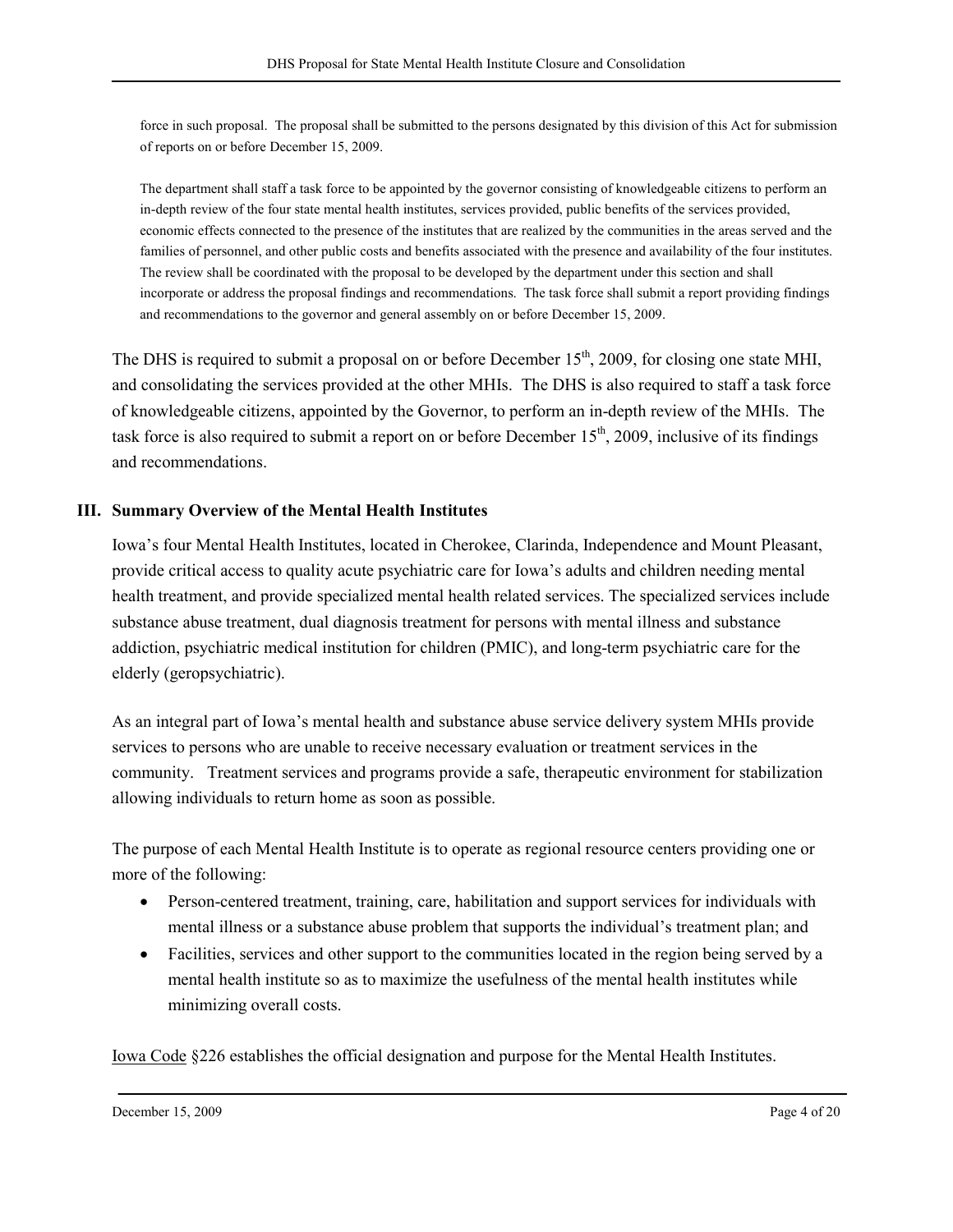force in such proposal. The proposal shall be submitted to the persons designated by this division of this Act for submission of reports on or before December 15, 2009.

The department shall staff a task force to be appointed by the governor consisting of knowledgeable citizens to perform an in-depth review of the four state mental health institutes, services provided, public benefits of the services provided, economic effects connected to the presence of the institutes that are realized by the communities in the areas served and the families of personnel, and other public costs and benefits associated with the presence and availability of the four institutes. The review shall be coordinated with the proposal to be developed by the department under this section and shall incorporate or address the proposal findings and recommendations. The task force shall submit a report providing findings and recommendations to the governor and general assembly on or before December 15, 2009.

The DHS is required to submit a proposal on or before December 15<sup>th</sup>, 2009, for closing one state MHI, and consolidating the services provided at the other MHIs. The DHS is also required to staff a task force of knowledgeable citizens, appointed by the Governor, to perform an in-depth review of the MHIs. The task force is also required to submit a report on or before December  $15<sup>th</sup>$ , 2009, inclusive of its findings and recommendations.

#### III. Summary Overview of the Mental Health Institutes

Iowa's four Mental Health Institutes, located in Cherokee, Clarinda, Independence and Mount Pleasant, provide critical access to quality acute psychiatric care for Iowa's adults and children needing mental health treatment, and provide specialized mental health related services. The specialized services include substance abuse treatment, dual diagnosis treatment for persons with mental illness and substance addiction, psychiatric medical institution for children (PMIC), and long-term psychiatric care for the elderly (geropsychiatric).

As an integral part of Iowa's mental health and substance abuse service delivery system MHIs provide services to persons who are unable to receive necessary evaluation or treatment services in the community. Treatment services and programs provide a safe, therapeutic environment for stabilization allowing individuals to return home as soon as possible.

The purpose of each Mental Health Institute is to operate as regional resource centers providing one or more of the following:

- Person-centered treatment, training, care, habilitation and support services for individuals with mental illness or a substance abuse problem that supports the individual's treatment plan; and
- Facilities, services and other support to the communities located in the region being served by a mental health institute so as to maximize the usefulness of the mental health institutes while minimizing overall costs.

Iowa Code §226 establishes the official designation and purpose for the Mental Health Institutes.

December 15, 2009 Page 4 of 20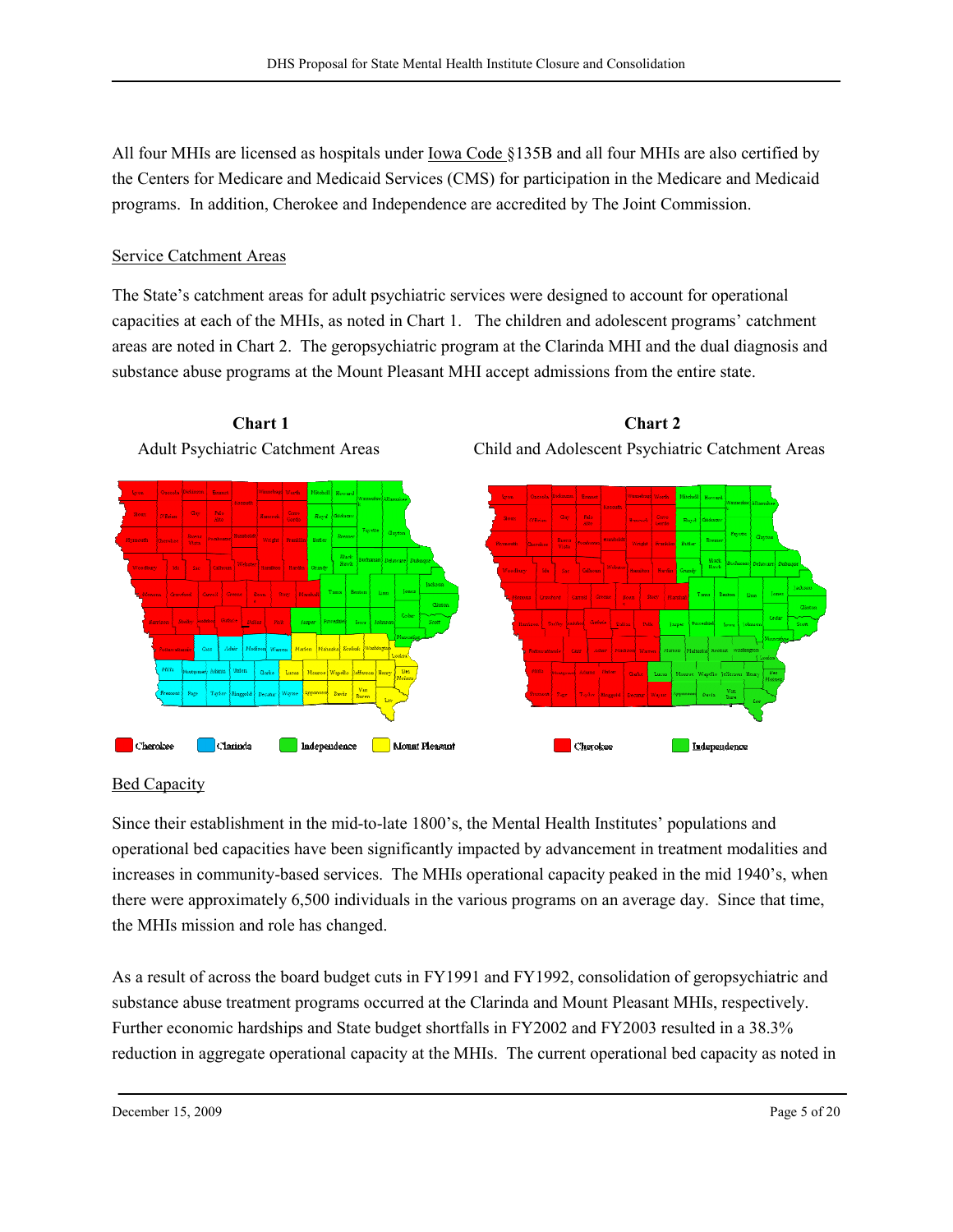All four MHIs are licensed as hospitals under Iowa Code §135B and all four MHIs are also certified by the Centers for Medicare and Medicaid Services (CMS) for participation in the Medicare and Medicaid programs. In addition, Cherokee and Independence are accredited by The Joint Commission.

# Service Catchment Areas

The State's catchment areas for adult psychiatric services were designed to account for operational capacities at each of the MHIs, as noted in Chart 1. The children and adolescent programs' catchment areas are noted in Chart 2. The geropsychiatric program at the Clarinda MHI and the dual diagnosis and substance abuse programs at the Mount Pleasant MHI accept admissions from the entire state.



## **Bed Capacity**

Since their establishment in the mid-to-late 1800's, the Mental Health Institutes' populations and operational bed capacities have been significantly impacted by advancement in treatment modalities and increases in community-based services. The MHIs operational capacity peaked in the mid 1940's, when there were approximately 6,500 individuals in the various programs on an average day. Since that time, the MHIs mission and role has changed.

As a result of across the board budget cuts in FY1991 and FY1992, consolidation of geropsychiatric and substance abuse treatment programs occurred at the Clarinda and Mount Pleasant MHIs, respectively. Further economic hardships and State budget shortfalls in FY2002 and FY2003 resulted in a 38.3% reduction in aggregate operational capacity at the MHIs. The current operational bed capacity as noted in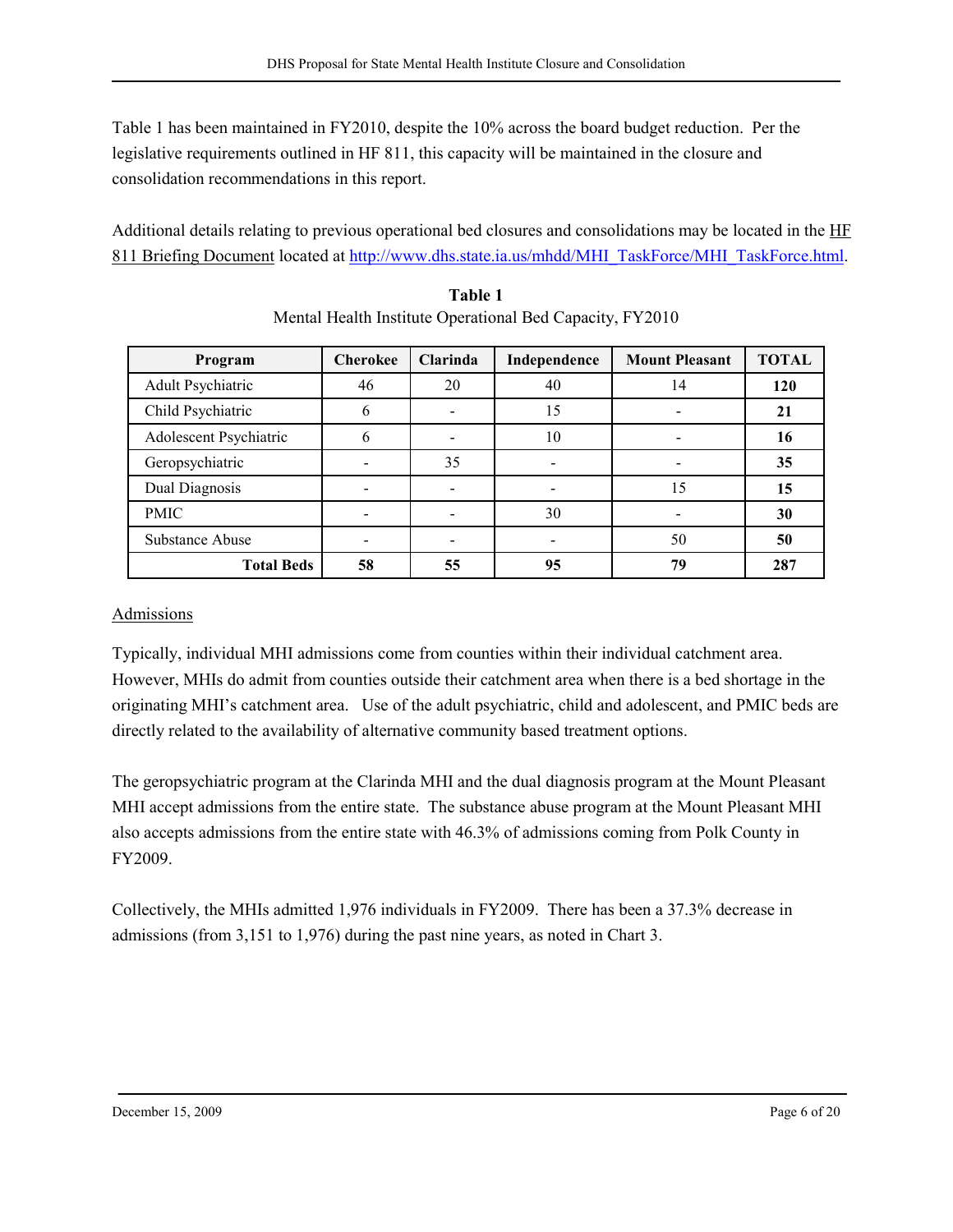Table 1 has been maintained in FY2010, despite the 10% across the board budget reduction. Per the legislative requirements outlined in HF 811, this capacity will be maintained in the closure and consolidation recommendations in this report.

Additional details relating to previous operational bed closures and consolidations may be located in the HF 811 Briefing Document located at http://www.dhs.state.ia.us/mhdd/MHI\_TaskForce/MHI\_TaskForce.html.

| Program                | <b>Cherokee</b> | <b>Clarinda</b> | Independence | <b>Mount Pleasant</b> | <b>TOTAL</b> |
|------------------------|-----------------|-----------------|--------------|-----------------------|--------------|
| Adult Psychiatric      | 46              | 20              | 40           | 14                    | 120          |
| Child Psychiatric      | 6               |                 | 15           |                       | 21           |
| Adolescent Psychiatric | 6               |                 | 10           |                       | 16           |
| Geropsychiatric        |                 | 35              |              |                       | 35           |
| Dual Diagnosis         |                 |                 |              | 15                    | 15           |
| <b>PMIC</b>            |                 |                 | 30           |                       | 30           |
| <b>Substance Abuse</b> |                 |                 |              | 50                    | 50           |
| <b>Total Beds</b>      | 58              | 55              | 95           | 79                    | 287          |

| Table 1                                                  |
|----------------------------------------------------------|
| Mental Health Institute Operational Bed Capacity, FY2010 |

#### Admissions

Typically, individual MHI admissions come from counties within their individual catchment area. However, MHIs do admit from counties outside their catchment area when there is a bed shortage in the originating MHI's catchment area. Use of the adult psychiatric, child and adolescent, and PMIC beds are directly related to the availability of alternative community based treatment options.

The geropsychiatric program at the Clarinda MHI and the dual diagnosis program at the Mount Pleasant MHI accept admissions from the entire state. The substance abuse program at the Mount Pleasant MHI also accepts admissions from the entire state with 46.3% of admissions coming from Polk County in FY2009.

Collectively, the MHIs admitted 1,976 individuals in FY2009. There has been a 37.3% decrease in admissions (from 3,151 to 1,976) during the past nine years, as noted in Chart 3.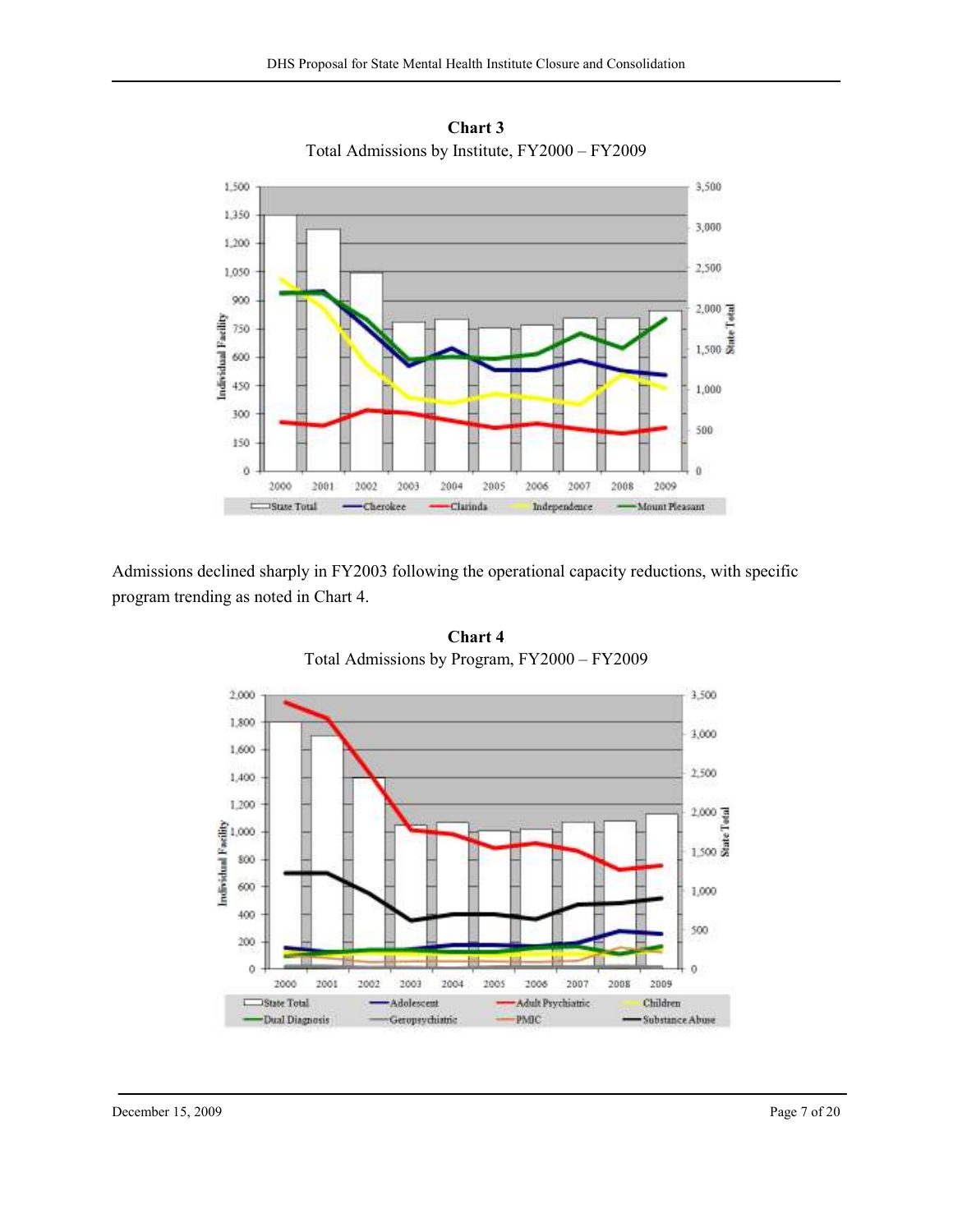

Chart 3 Total Admissions by Institute, FY2000 – FY2009

Admissions declined sharply in FY2003 following the operational capacity reductions, with specific program trending as noted in Chart 4.



Chart 4 Total Admissions by Program, FY2000 – FY2009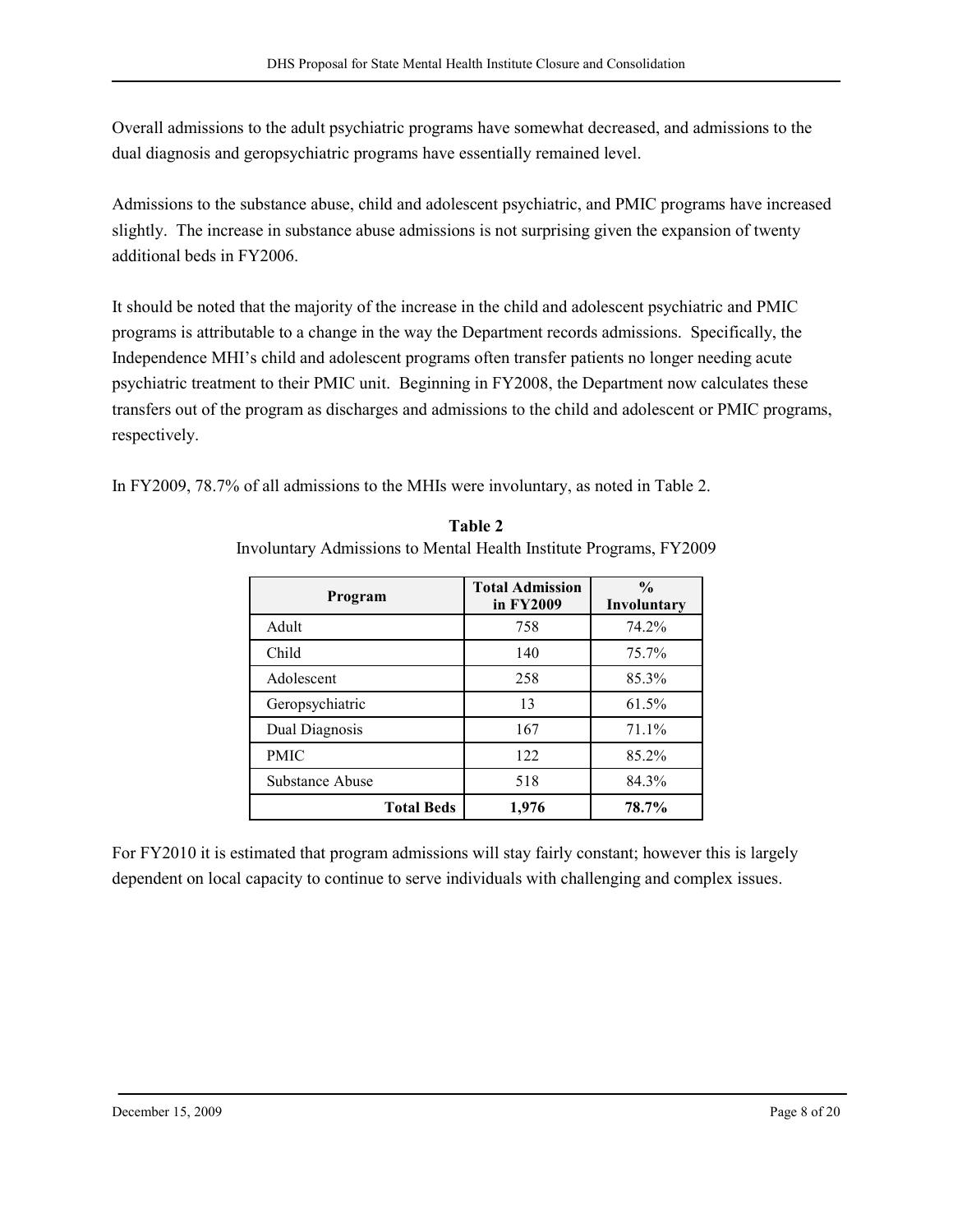Overall admissions to the adult psychiatric programs have somewhat decreased, and admissions to the dual diagnosis and geropsychiatric programs have essentially remained level.

Admissions to the substance abuse, child and adolescent psychiatric, and PMIC programs have increased slightly. The increase in substance abuse admissions is not surprising given the expansion of twenty additional beds in FY2006.

It should be noted that the majority of the increase in the child and adolescent psychiatric and PMIC programs is attributable to a change in the way the Department records admissions. Specifically, the Independence MHI's child and adolescent programs often transfer patients no longer needing acute psychiatric treatment to their PMIC unit. Beginning in FY2008, the Department now calculates these transfers out of the program as discharges and admissions to the child and adolescent or PMIC programs, respectively.

In FY2009, 78.7% of all admissions to the MHIs were involuntary, as noted in Table 2.

| Program           | <b>Total Admission</b><br>in FY2009 | $\frac{0}{0}$<br>Involuntary |
|-------------------|-------------------------------------|------------------------------|
| Adult             | 758                                 | 74.2%                        |
| Child             | 140                                 | 75.7%                        |
| Adolescent        | 258                                 | 85.3%                        |
| Geropsychiatric   | 13                                  | 61.5%                        |
| Dual Diagnosis    | 167                                 | 71.1%                        |
| <b>PMIC</b>       | 122                                 | 85.2%                        |
| Substance Abuse   | 518                                 | 84.3%                        |
| <b>Total Beds</b> | 1,976                               | 78.7%                        |

Table 2 Involuntary Admissions to Mental Health Institute Programs, FY2009

For FY2010 it is estimated that program admissions will stay fairly constant; however this is largely dependent on local capacity to continue to serve individuals with challenging and complex issues.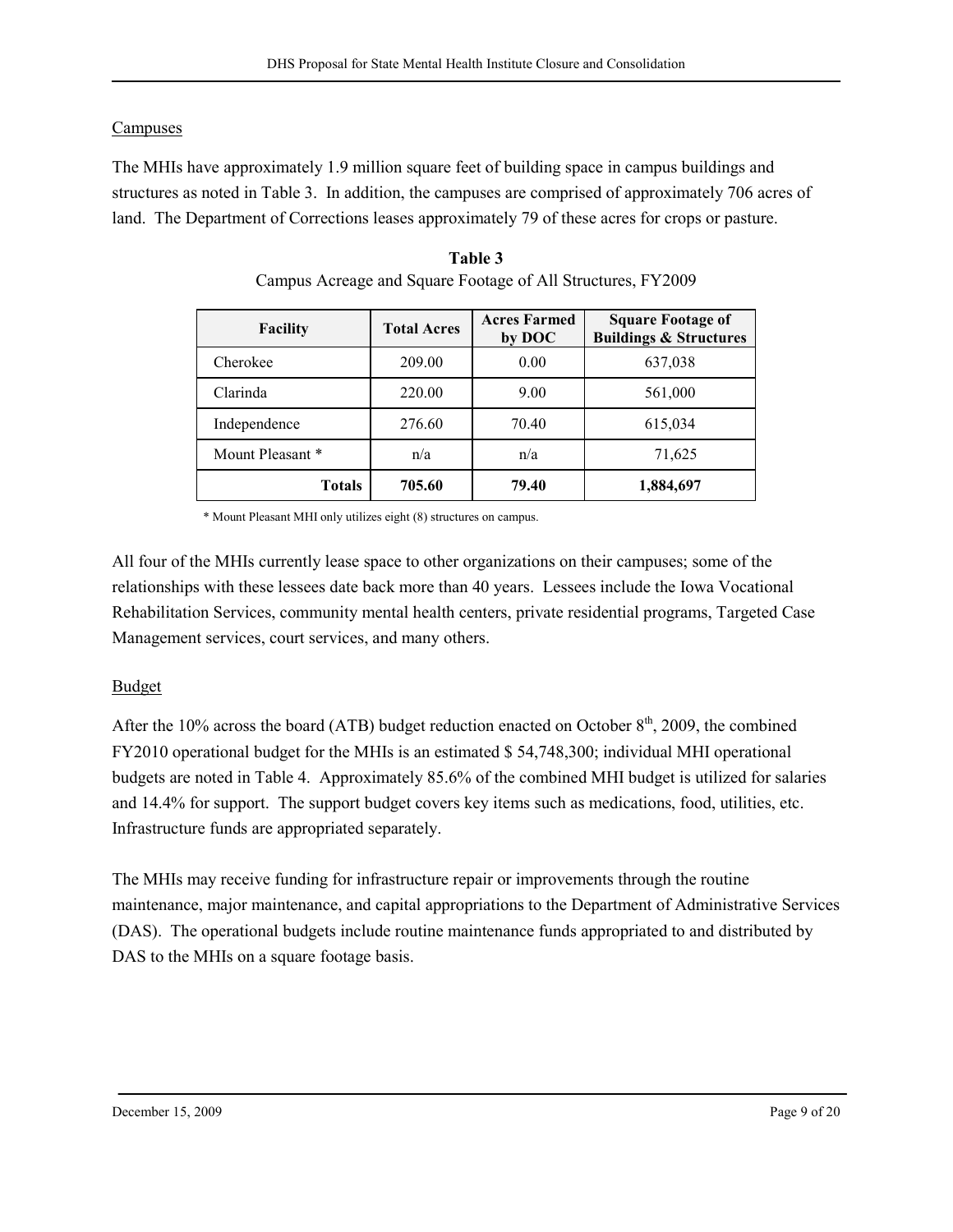# **Campuses**

The MHIs have approximately 1.9 million square feet of building space in campus buildings and structures as noted in Table 3. In addition, the campuses are comprised of approximately 706 acres of land. The Department of Corrections leases approximately 79 of these acres for crops or pasture.

| <b>Facility</b>  | <b>Total Acres</b> | <b>Acres Farmed</b><br>by DOC | <b>Square Footage of</b><br><b>Buildings &amp; Structures</b> |
|------------------|--------------------|-------------------------------|---------------------------------------------------------------|
| Cherokee         | 209.00             | 0.00                          | 637,038                                                       |
| Clarinda         | 220.00             | 9.00                          | 561,000                                                       |
| Independence     | 276.60             | 70.40                         | 615,034                                                       |
| Mount Pleasant * | n/a                | n/a                           | 71,625                                                        |
| Totals           | 705.60             | 79.40                         | 1,884,697                                                     |

Table 3 Campus Acreage and Square Footage of All Structures, FY2009

\* Mount Pleasant MHI only utilizes eight (8) structures on campus.

All four of the MHIs currently lease space to other organizations on their campuses; some of the relationships with these lessees date back more than 40 years. Lessees include the Iowa Vocational Rehabilitation Services, community mental health centers, private residential programs, Targeted Case Management services, court services, and many others.

# Budget

After the 10% across the board (ATB) budget reduction enacted on October  $8<sup>th</sup>$ , 2009, the combined FY2010 operational budget for the MHIs is an estimated \$ 54,748,300; individual MHI operational budgets are noted in Table 4. Approximately 85.6% of the combined MHI budget is utilized for salaries and 14.4% for support. The support budget covers key items such as medications, food, utilities, etc. Infrastructure funds are appropriated separately.

The MHIs may receive funding for infrastructure repair or improvements through the routine maintenance, major maintenance, and capital appropriations to the Department of Administrative Services (DAS). The operational budgets include routine maintenance funds appropriated to and distributed by DAS to the MHIs on a square footage basis.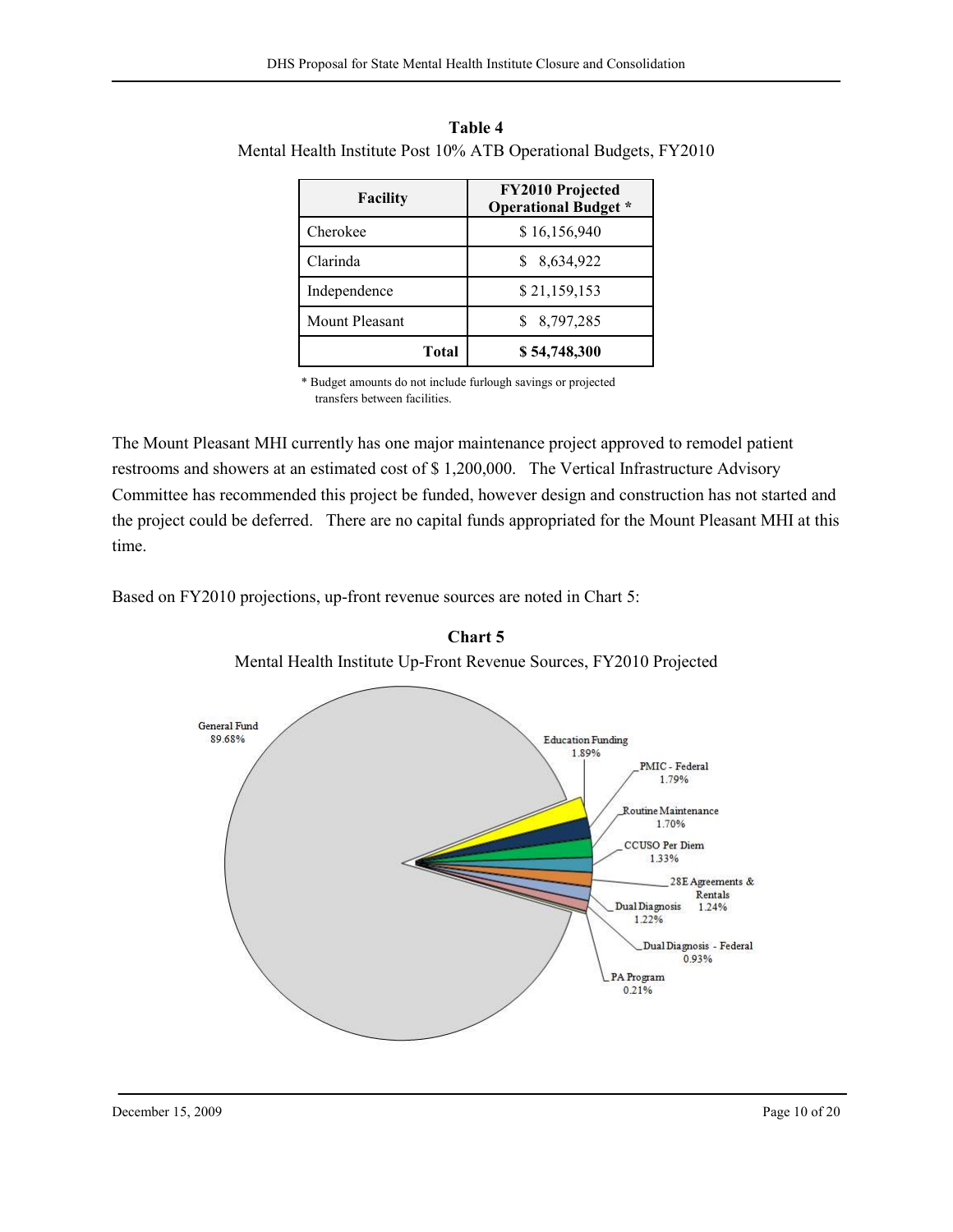| <b>Facility</b>       | <b>FY2010 Projected</b><br><b>Operational Budget *</b> |
|-----------------------|--------------------------------------------------------|
| Cherokee              | \$16,156,940                                           |
| Clarinda              | 8,634,922                                              |
| Independence          | \$21,159,153                                           |
| <b>Mount Pleasant</b> | 8,797,285                                              |
| Total                 | \$54,748,300                                           |

Table 4 Mental Health Institute Post 10% ATB Operational Budgets, FY2010

\* Budget amounts do not include furlough savings or projected transfers between facilities.

The Mount Pleasant MHI currently has one major maintenance project approved to remodel patient restrooms and showers at an estimated cost of \$ 1,200,000. The Vertical Infrastructure Advisory Committee has recommended this project be funded, however design and construction has not started and the project could be deferred. There are no capital funds appropriated for the Mount Pleasant MHI at this time.

Based on FY2010 projections, up-front revenue sources are noted in Chart 5:



Chart 5 Mental Health Institute Up-Front Revenue Sources, FY2010 Projected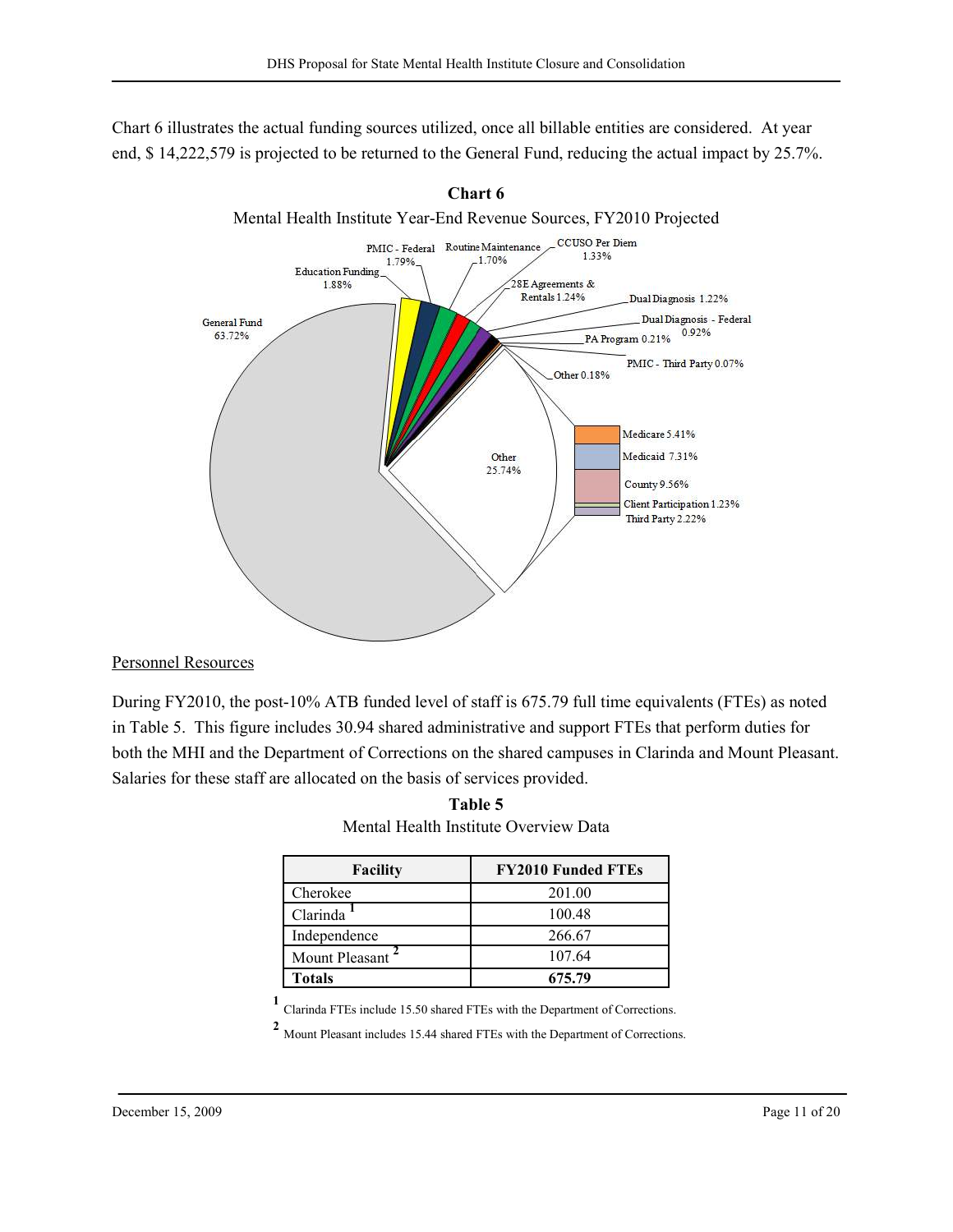Chart 6 illustrates the actual funding sources utilized, once all billable entities are considered. At year end, \$ 14,222,579 is projected to be returned to the General Fund, reducing the actual impact by 25.7%.





## Personnel Resources

During FY2010, the post-10% ATB funded level of staff is 675.79 full time equivalents (FTEs) as noted in Table 5. This figure includes 30.94 shared administrative and support FTEs that perform duties for both the MHI and the Department of Corrections on the shared campuses in Clarinda and Mount Pleasant. Salaries for these staff are allocated on the basis of services provided.

| Table 5                               |
|---------------------------------------|
| Mental Health Institute Overview Data |

| Facility       | <b>FY2010 Funded FTEs</b> |
|----------------|---------------------------|
| Cherokee       | 201.00                    |
| Clarinda       | 100.48                    |
| Independence   | 266.67                    |
| Mount Pleasant | 107.64                    |
| Totals         | 675.79                    |

1 Clarinda FTEs include 15.50 shared FTEs with the Department of Corrections.

2 Mount Pleasant includes 15.44 shared FTEs with the Department of Corrections.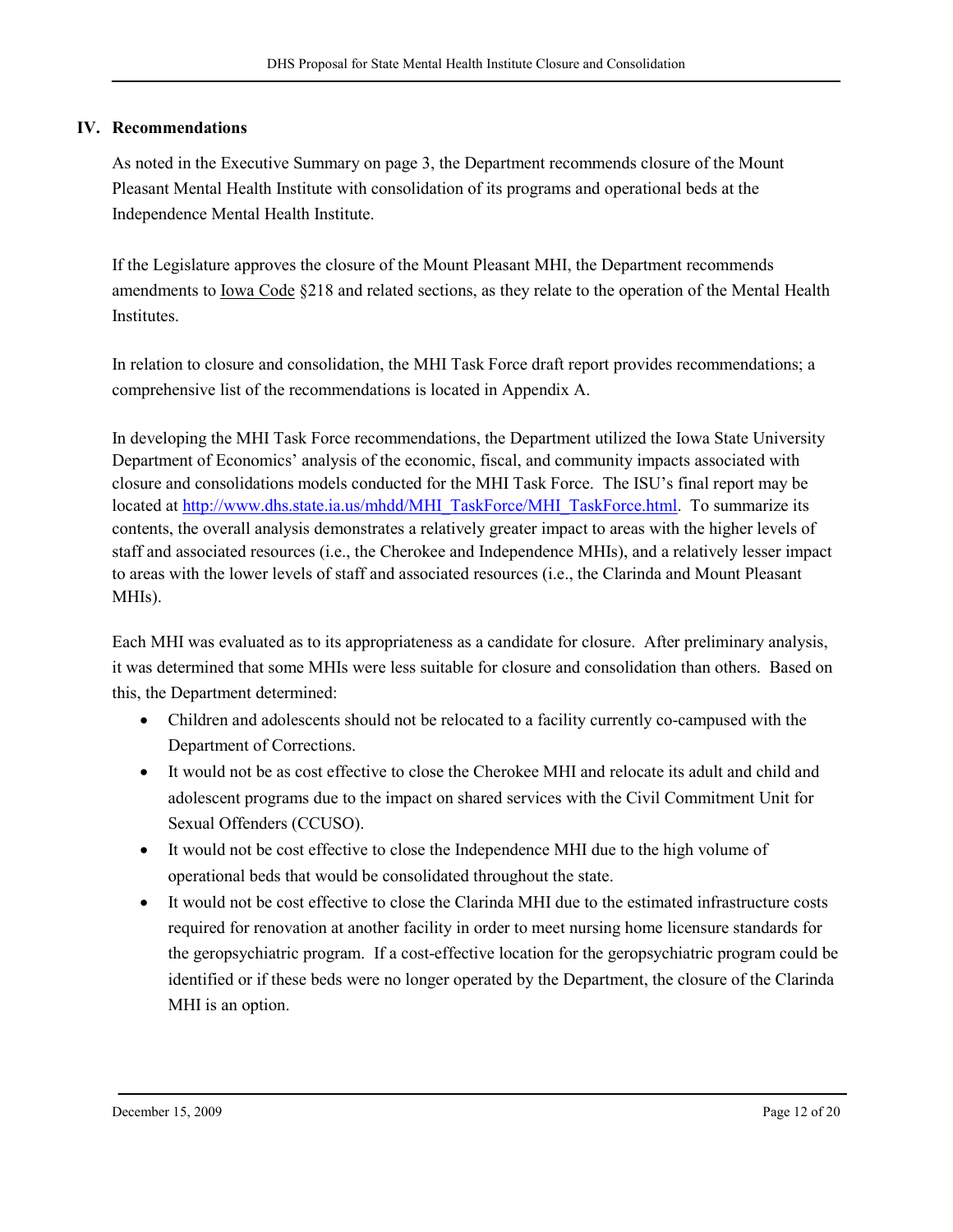# IV. Recommendations

As noted in the Executive Summary on page 3, the Department recommends closure of the Mount Pleasant Mental Health Institute with consolidation of its programs and operational beds at the Independence Mental Health Institute.

If the Legislature approves the closure of the Mount Pleasant MHI, the Department recommends amendments to Iowa Code §218 and related sections, as they relate to the operation of the Mental Health Institutes.

In relation to closure and consolidation, the MHI Task Force draft report provides recommendations; a comprehensive list of the recommendations is located in Appendix A.

In developing the MHI Task Force recommendations, the Department utilized the Iowa State University Department of Economics' analysis of the economic, fiscal, and community impacts associated with closure and consolidations models conducted for the MHI Task Force. The ISU's final report may be located at http://www.dhs.state.ia.us/mhdd/MHI\_TaskForce/MHI\_TaskForce.html. To summarize its contents, the overall analysis demonstrates a relatively greater impact to areas with the higher levels of staff and associated resources (i.e., the Cherokee and Independence MHIs), and a relatively lesser impact to areas with the lower levels of staff and associated resources (i.e., the Clarinda and Mount Pleasant MHIs).

Each MHI was evaluated as to its appropriateness as a candidate for closure. After preliminary analysis, it was determined that some MHIs were less suitable for closure and consolidation than others. Based on this, the Department determined:

- Children and adolescents should not be relocated to a facility currently co-campused with the Department of Corrections.
- It would not be as cost effective to close the Cherokee MHI and relocate its adult and child and adolescent programs due to the impact on shared services with the Civil Commitment Unit for Sexual Offenders (CCUSO).
- It would not be cost effective to close the Independence MHI due to the high volume of operational beds that would be consolidated throughout the state.
- It would not be cost effective to close the Clarinda MHI due to the estimated infrastructure costs required for renovation at another facility in order to meet nursing home licensure standards for the geropsychiatric program. If a cost-effective location for the geropsychiatric program could be identified or if these beds were no longer operated by the Department, the closure of the Clarinda MHI is an option.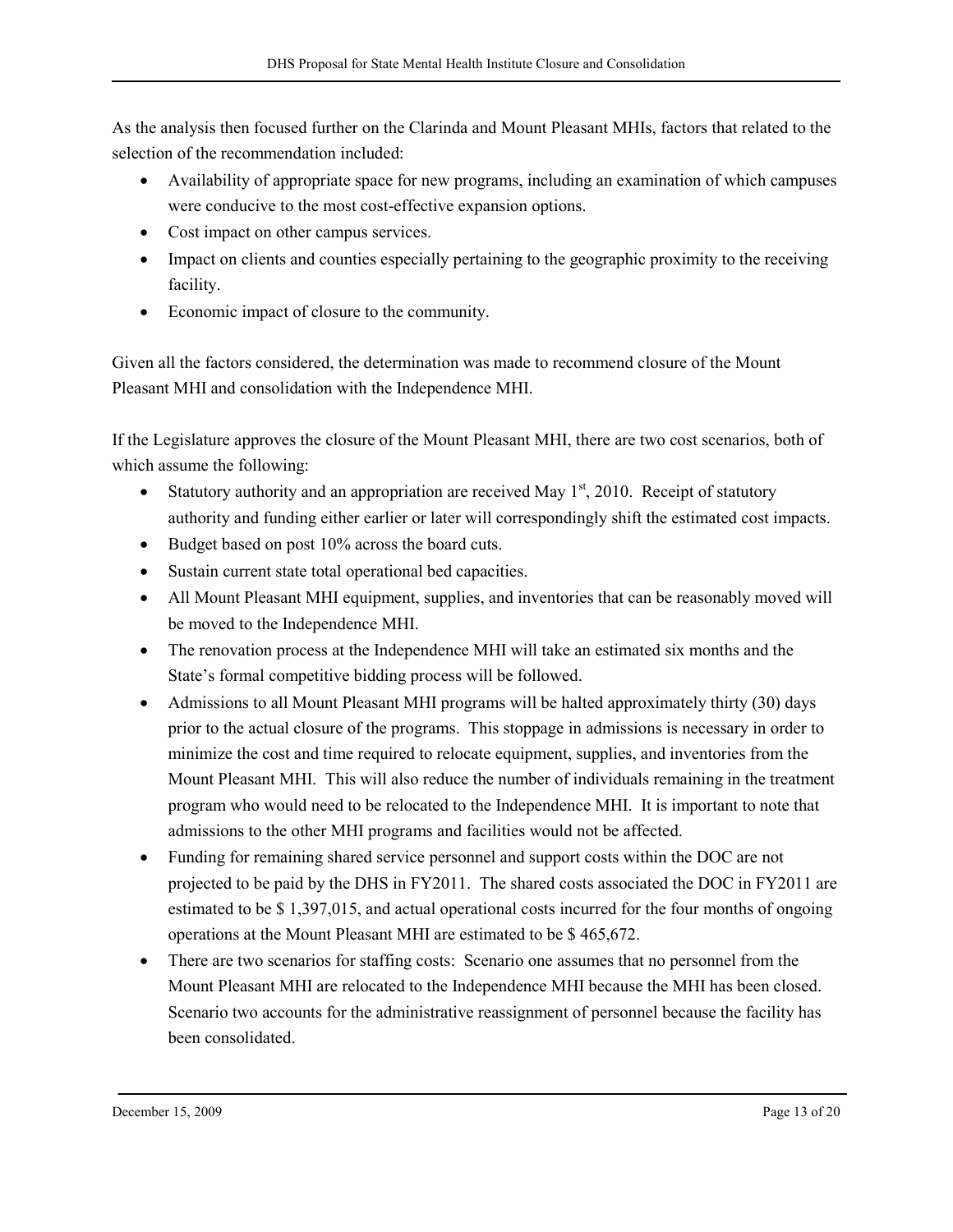As the analysis then focused further on the Clarinda and Mount Pleasant MHIs, factors that related to the selection of the recommendation included:

- Availability of appropriate space for new programs, including an examination of which campuses were conducive to the most cost-effective expansion options.
- Cost impact on other campus services.
- Impact on clients and counties especially pertaining to the geographic proximity to the receiving facility.
- Economic impact of closure to the community.

Given all the factors considered, the determination was made to recommend closure of the Mount Pleasant MHI and consolidation with the Independence MHI.

If the Legislature approves the closure of the Mount Pleasant MHI, there are two cost scenarios, both of which assume the following:

- Statutory authority and an appropriation are received May  $1<sup>st</sup>$ , 2010. Receipt of statutory authority and funding either earlier or later will correspondingly shift the estimated cost impacts.
- Budget based on post 10% across the board cuts.
- Sustain current state total operational bed capacities.
- All Mount Pleasant MHI equipment, supplies, and inventories that can be reasonably moved will be moved to the Independence MHI.
- The renovation process at the Independence MHI will take an estimated six months and the State's formal competitive bidding process will be followed.
- Admissions to all Mount Pleasant MHI programs will be halted approximately thirty (30) days prior to the actual closure of the programs. This stoppage in admissions is necessary in order to minimize the cost and time required to relocate equipment, supplies, and inventories from the Mount Pleasant MHI. This will also reduce the number of individuals remaining in the treatment program who would need to be relocated to the Independence MHI. It is important to note that admissions to the other MHI programs and facilities would not be affected.
- Funding for remaining shared service personnel and support costs within the DOC are not projected to be paid by the DHS in FY2011. The shared costs associated the DOC in FY2011 are estimated to be \$ 1,397,015, and actual operational costs incurred for the four months of ongoing operations at the Mount Pleasant MHI are estimated to be \$ 465,672.
- There are two scenarios for staffing costs: Scenario one assumes that no personnel from the Mount Pleasant MHI are relocated to the Independence MHI because the MHI has been closed. Scenario two accounts for the administrative reassignment of personnel because the facility has been consolidated.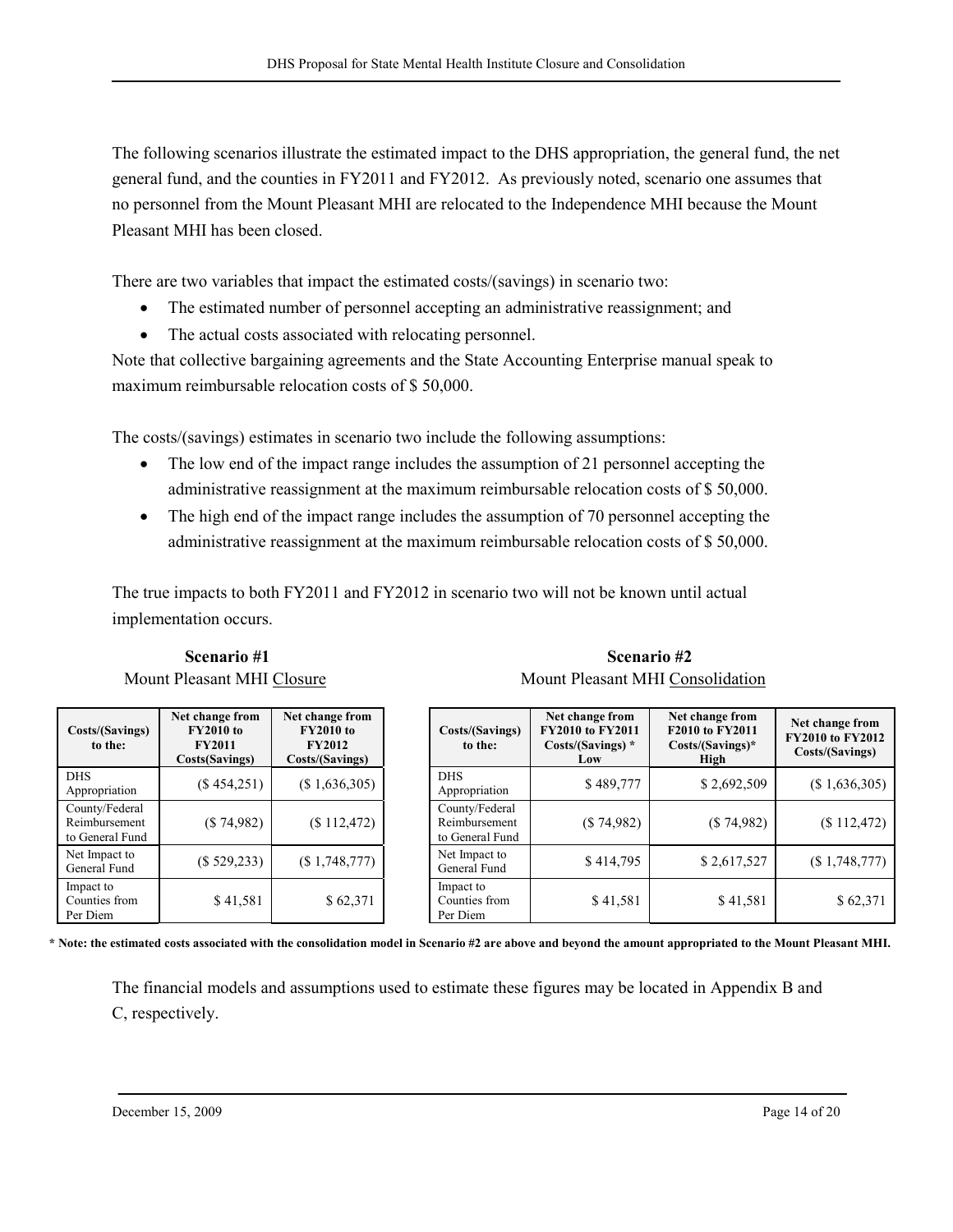The following scenarios illustrate the estimated impact to the DHS appropriation, the general fund, the net general fund, and the counties in FY2011 and FY2012. As previously noted, scenario one assumes that no personnel from the Mount Pleasant MHI are relocated to the Independence MHI because the Mount Pleasant MHI has been closed.

There are two variables that impact the estimated costs/(savings) in scenario two:

- The estimated number of personnel accepting an administrative reassignment; and
- The actual costs associated with relocating personnel.

Note that collective bargaining agreements and the State Accounting Enterprise manual speak to maximum reimbursable relocation costs of \$ 50,000.

The costs/(savings) estimates in scenario two include the following assumptions:

- The low end of the impact range includes the assumption of 21 personnel accepting the administrative reassignment at the maximum reimbursable relocation costs of \$ 50,000.
- The high end of the impact range includes the assumption of 70 personnel accepting the administrative reassignment at the maximum reimbursable relocation costs of \$ 50,000.

The true impacts to both FY2011 and FY2012 in scenario two will not be known until actual implementation occurs.

Costs/(Savings) to the: Net change from FY2010 to FY2011 Costs(Savings) Net change from FY2010 to FY2012 Costs/(Savings) DHS DHS<br>
Appropriation (\$ 454,251) (\$ 1,636,305) DHS<br>
Appro County/Federal Reimbursement to General Fund (\$ 74,982) (\$ 112,472) Net Impact to Net Impact to<br>General Fund (\$ 529,233) (\$ 1,748,777) Net Impact to<br>General Fund Impact to Counties from Per Diem \$ 41,581 \$ 62,371

| Scenario #1                | Scenario #2                      |
|----------------------------|----------------------------------|
| Mount Pleasant MHI Closure | Mount Pleasant MHI Consolidation |

| Costs/(Savings)<br>to the:                         | Net change from<br><b>FY2010 to FY2011</b><br>Costs/(Savings) *<br>Low | Net change from<br>F2010 to FY2011<br>$Costs/(Savings)^*$<br>High |               |  |  |  |  |  |
|----------------------------------------------------|------------------------------------------------------------------------|-------------------------------------------------------------------|---------------|--|--|--|--|--|
| <b>DHS</b><br>Appropriation                        | \$489,777                                                              | \$2,692,509                                                       | (\$1,636,305) |  |  |  |  |  |
| County/Federal<br>Reimbursement<br>to General Fund | (\$74,982)                                                             | (S74,982)                                                         | $(\$112,472)$ |  |  |  |  |  |
| Net Impact to<br>General Fund                      | \$414,795                                                              | \$2,617,527                                                       | (\$1,748,777) |  |  |  |  |  |
| Impact to<br>Counties from<br>Per Diem             | \$41,581                                                               | \$41,581                                                          | \$62,371      |  |  |  |  |  |

\* Note: the estimated costs associated with the consolidation model in Scenario #2 are above and beyond the amount appropriated to the Mount Pleasant MHI.

The financial models and assumptions used to estimate these figures may be located in Appendix B and C, respectively.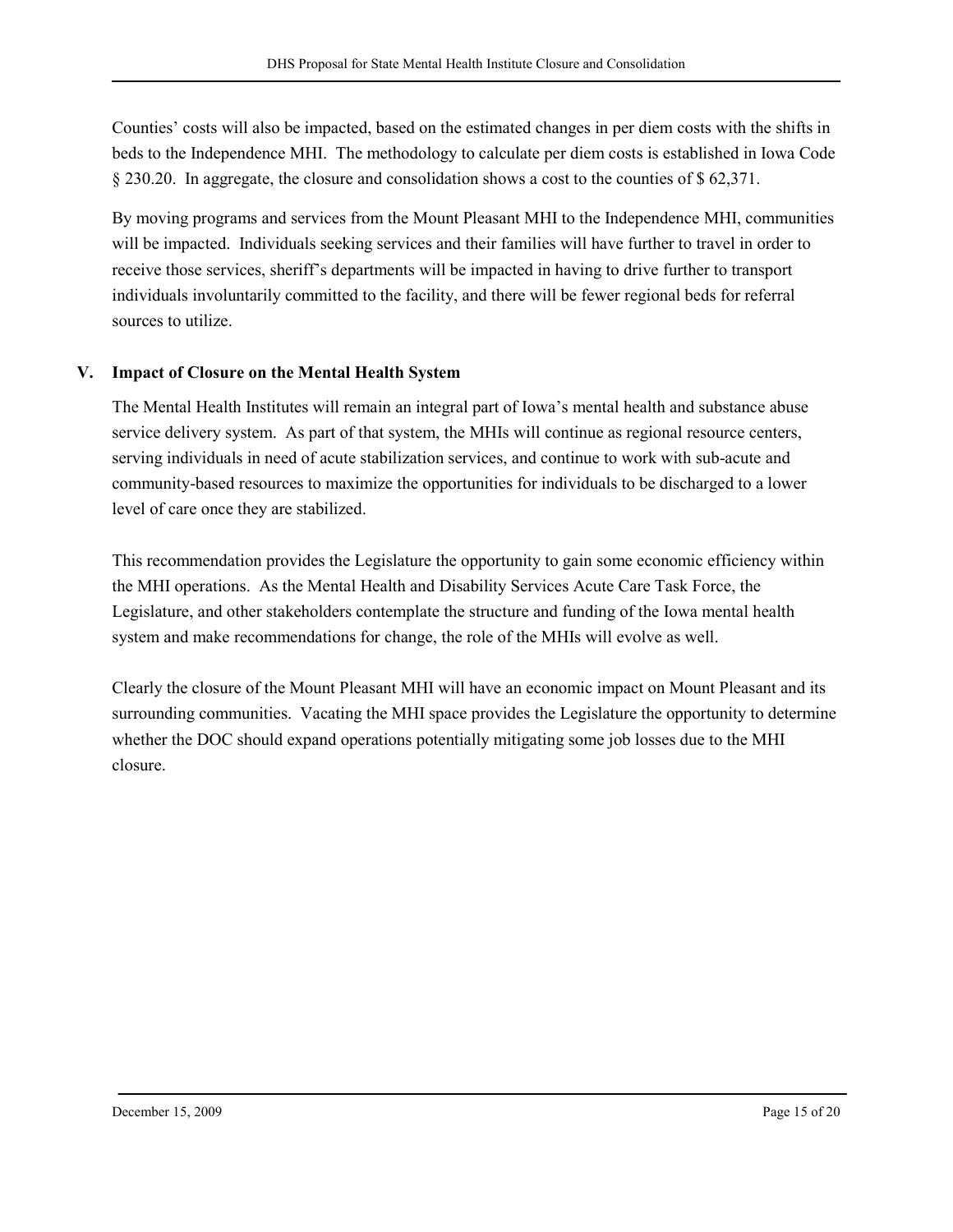Counties' costs will also be impacted, based on the estimated changes in per diem costs with the shifts in beds to the Independence MHI. The methodology to calculate per diem costs is established in Iowa Code § 230.20. In aggregate, the closure and consolidation shows a cost to the counties of \$ 62,371.

By moving programs and services from the Mount Pleasant MHI to the Independence MHI, communities will be impacted. Individuals seeking services and their families will have further to travel in order to receive those services, sheriff's departments will be impacted in having to drive further to transport individuals involuntarily committed to the facility, and there will be fewer regional beds for referral sources to utilize.

#### V. Impact of Closure on the Mental Health System

The Mental Health Institutes will remain an integral part of Iowa's mental health and substance abuse service delivery system. As part of that system, the MHIs will continue as regional resource centers, serving individuals in need of acute stabilization services, and continue to work with sub-acute and community-based resources to maximize the opportunities for individuals to be discharged to a lower level of care once they are stabilized.

This recommendation provides the Legislature the opportunity to gain some economic efficiency within the MHI operations. As the Mental Health and Disability Services Acute Care Task Force, the Legislature, and other stakeholders contemplate the structure and funding of the Iowa mental health system and make recommendations for change, the role of the MHIs will evolve as well.

Clearly the closure of the Mount Pleasant MHI will have an economic impact on Mount Pleasant and its surrounding communities. Vacating the MHI space provides the Legislature the opportunity to determine whether the DOC should expand operations potentially mitigating some job losses due to the MHI closure.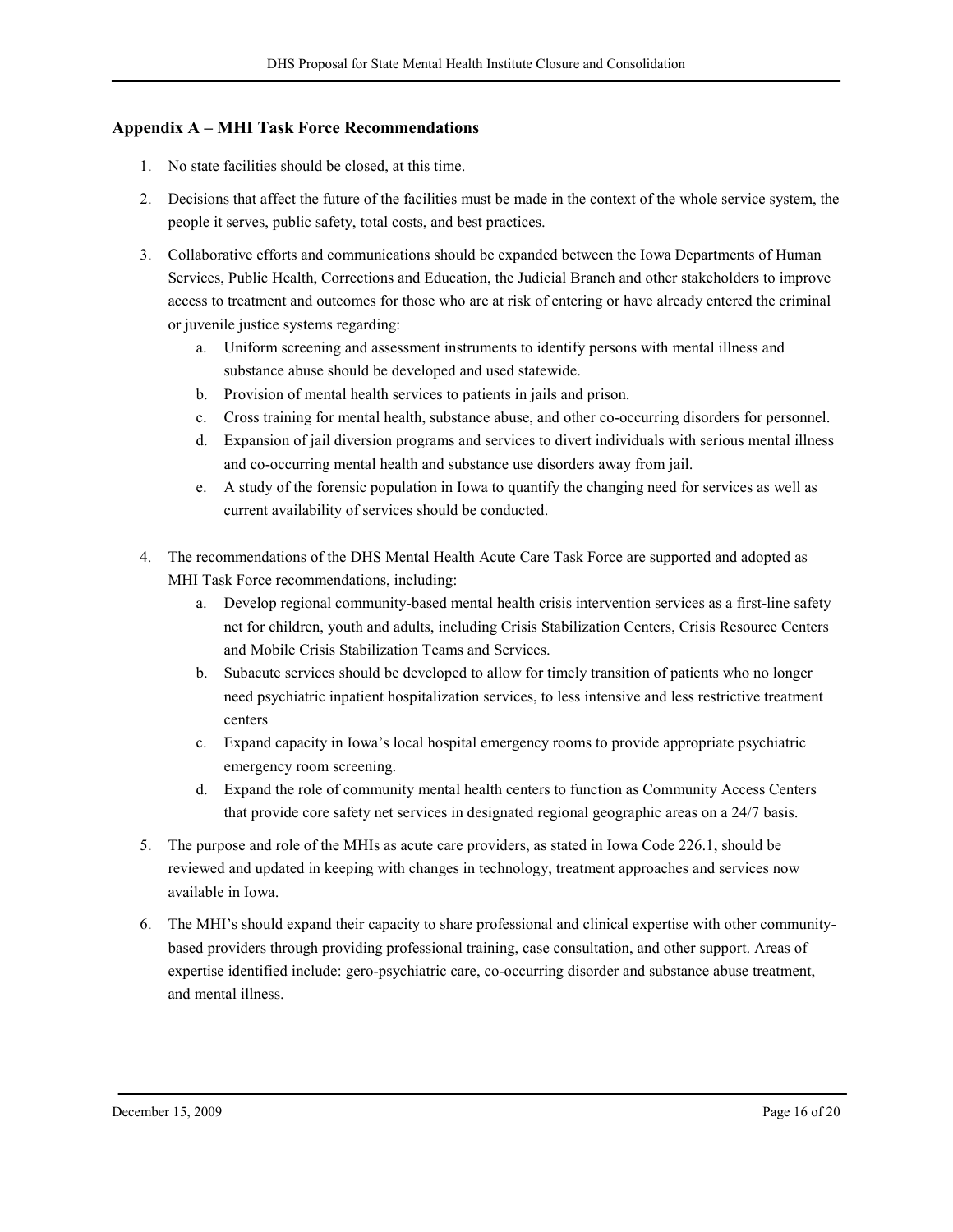#### Appendix A – MHI Task Force Recommendations

- 1. No state facilities should be closed, at this time.
- 2. Decisions that affect the future of the facilities must be made in the context of the whole service system, the people it serves, public safety, total costs, and best practices.
- 3. Collaborative efforts and communications should be expanded between the Iowa Departments of Human Services, Public Health, Corrections and Education, the Judicial Branch and other stakeholders to improve access to treatment and outcomes for those who are at risk of entering or have already entered the criminal or juvenile justice systems regarding:
	- a. Uniform screening and assessment instruments to identify persons with mental illness and substance abuse should be developed and used statewide.
	- b. Provision of mental health services to patients in jails and prison.
	- c. Cross training for mental health, substance abuse, and other co-occurring disorders for personnel.
	- d. Expansion of jail diversion programs and services to divert individuals with serious mental illness and co-occurring mental health and substance use disorders away from jail.
	- e. A study of the forensic population in Iowa to quantify the changing need for services as well as current availability of services should be conducted.
- 4. The recommendations of the DHS Mental Health Acute Care Task Force are supported and adopted as MHI Task Force recommendations, including:
	- a. Develop regional community-based mental health crisis intervention services as a first-line safety net for children, youth and adults, including Crisis Stabilization Centers, Crisis Resource Centers and Mobile Crisis Stabilization Teams and Services.
	- b. Subacute services should be developed to allow for timely transition of patients who no longer need psychiatric inpatient hospitalization services, to less intensive and less restrictive treatment centers
	- c. Expand capacity in Iowa's local hospital emergency rooms to provide appropriate psychiatric emergency room screening.
	- d. Expand the role of community mental health centers to function as Community Access Centers that provide core safety net services in designated regional geographic areas on a 24/7 basis.
- 5. The purpose and role of the MHIs as acute care providers, as stated in Iowa Code 226.1, should be reviewed and updated in keeping with changes in technology, treatment approaches and services now available in Iowa.
- 6. The MHI's should expand their capacity to share professional and clinical expertise with other communitybased providers through providing professional training, case consultation, and other support. Areas of expertise identified include: gero-psychiatric care, co-occurring disorder and substance abuse treatment, and mental illness.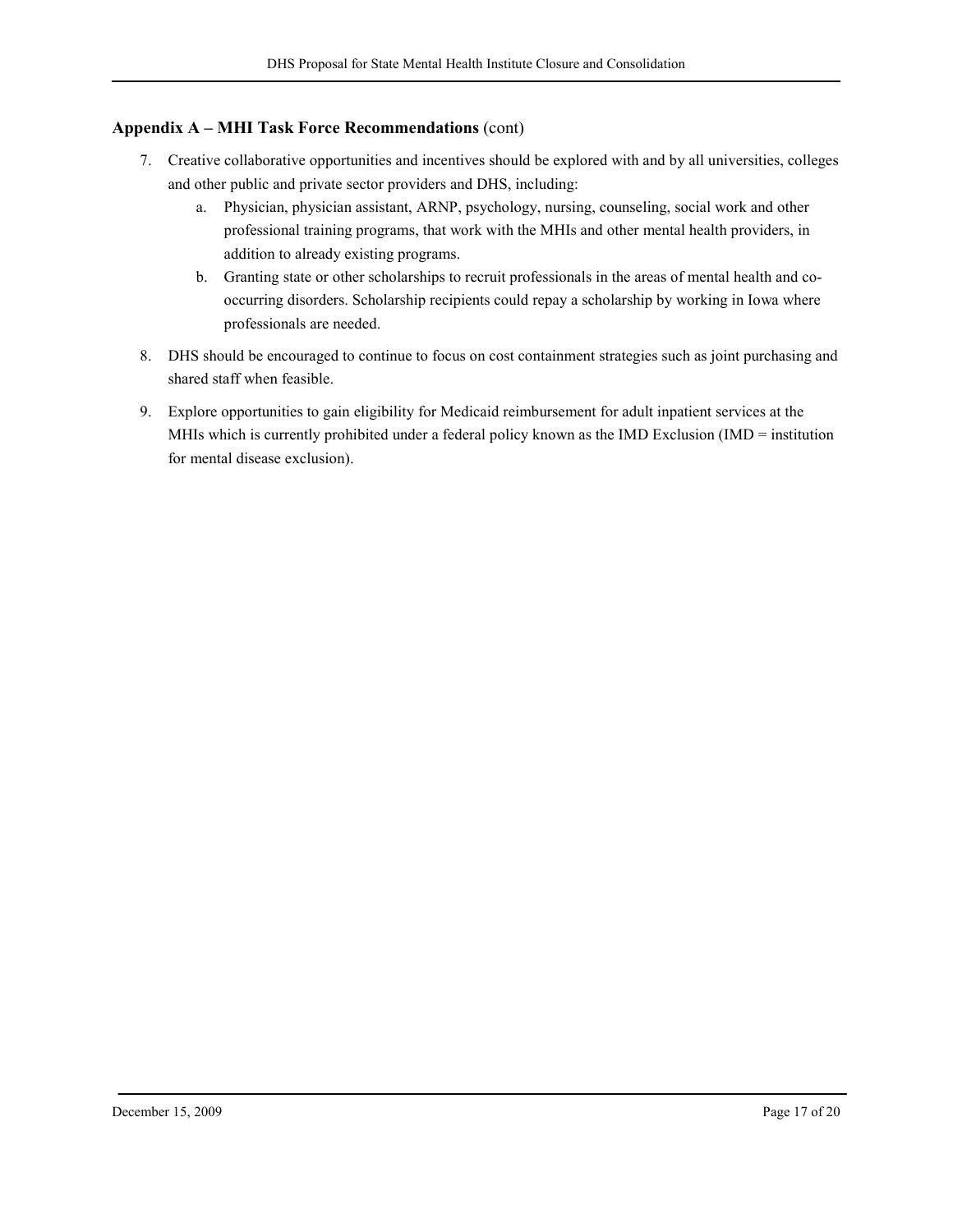#### Appendix A – MHI Task Force Recommendations (cont)

- 7. Creative collaborative opportunities and incentives should be explored with and by all universities, colleges and other public and private sector providers and DHS, including:
	- a. Physician, physician assistant, ARNP, psychology, nursing, counseling, social work and other professional training programs, that work with the MHIs and other mental health providers, in addition to already existing programs.
	- b. Granting state or other scholarships to recruit professionals in the areas of mental health and cooccurring disorders. Scholarship recipients could repay a scholarship by working in Iowa where professionals are needed.
- 8. DHS should be encouraged to continue to focus on cost containment strategies such as joint purchasing and shared staff when feasible.
- 9. Explore opportunities to gain eligibility for Medicaid reimbursement for adult inpatient services at the MHIs which is currently prohibited under a federal policy known as the IMD Exclusion (IMD = institution for mental disease exclusion).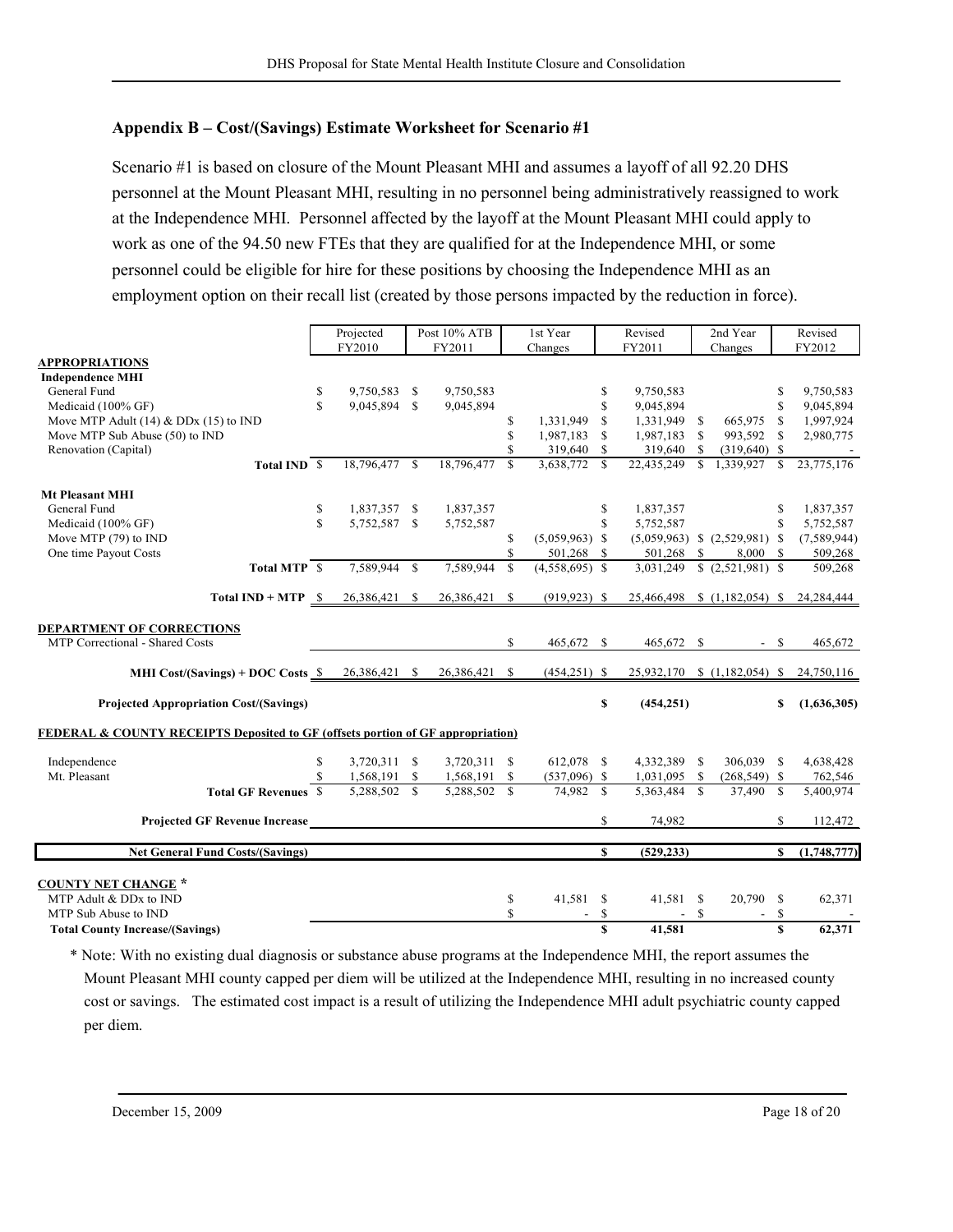## Appendix B – Cost/(Savings) Estimate Worksheet for Scenario #1

Scenario #1 is based on closure of the Mount Pleasant MHI and assumes a layoff of all 92.20 DHS personnel at the Mount Pleasant MHI, resulting in no personnel being administratively reassigned to work at the Independence MHI. Personnel affected by the layoff at the Mount Pleasant MHI could apply to work as one of the 94.50 new FTEs that they are qualified for at the Independence MHI, or some personnel could be eligible for hire for these positions by choosing the Independence MHI as an employment option on their recall list (created by those persons impacted by the reduction in force).

|                                                                                            |                                                                               | Projected    |               | Post 10% ATB |               |               | 1st Year         | Revised       |              | 2nd Year     |                                         |              | Revised     |  |
|--------------------------------------------------------------------------------------------|-------------------------------------------------------------------------------|--------------|---------------|--------------|---------------|---------------|------------------|---------------|--------------|--------------|-----------------------------------------|--------------|-------------|--|
|                                                                                            | FY2010                                                                        |              |               | FY2011       |               |               | Changes          | FY2011        |              | Changes      |                                         |              | FY2012      |  |
| <b>APPROPRIATIONS</b>                                                                      |                                                                               |              |               |              |               |               |                  |               |              |              |                                         |              |             |  |
| <b>Independence MHI</b>                                                                    |                                                                               |              |               |              |               |               |                  |               |              |              |                                         |              |             |  |
| General Fund                                                                               |                                                                               | \$           | 9,750,583 \$  |              | 9,750,583     |               |                  | \$            | 9,750,583    |              |                                         | \$           | 9,750,583   |  |
| Medicaid (100% GF)                                                                         |                                                                               | $\mathbb{S}$ | 9,045,894 \$  |              | 9,045,894     |               |                  | \$            | 9,045,894    |              |                                         | \$           | 9,045,894   |  |
| Move MTP Adult $(14)$ & DDx $(15)$ to IND                                                  |                                                                               |              |               |              |               | \$            | 1,331,949        | <sup>\$</sup> | 1,331,949 \$ |              | 665,975                                 | $\mathbf S$  | 1,997,924   |  |
| Move MTP Sub Abuse (50) to IND                                                             |                                                                               |              |               |              |               | S             | 1,987,183        | <sup>\$</sup> | 1,987,183 \$ |              | 993,592                                 | \$.          | 2,980,775   |  |
| Renovation (Capital)                                                                       |                                                                               |              |               |              |               |               | 319,640 \$       |               | 319,640 \$   |              | $(319,640)$ \$                          |              |             |  |
|                                                                                            | Total IND \$                                                                  |              | 18,796,477 \$ |              | 18,796,477    | $\mathcal{S}$ | 3,638,772        | $\mathcal{S}$ | 22,435,249   | $\mathbf{s}$ | 1,339,927                               | $\mathbf{s}$ | 23,775,176  |  |
| <b>Mt Pleasant MHI</b>                                                                     |                                                                               |              |               |              |               |               |                  |               |              |              |                                         |              |             |  |
| General Fund                                                                               |                                                                               | \$           | 1,837,357 \$  |              | 1,837,357     |               |                  | \$            | 1,837,357    |              |                                         | S            | 1,837,357   |  |
| Medicaid (100% GF)                                                                         |                                                                               | $\mathbf S$  | 5,752,587 \$  |              | 5,752,587     |               |                  | $\mathbb{S}$  | 5,752,587    |              |                                         | $\mathbb{S}$ | 5,752,587   |  |
| Move MTP (79) to IND                                                                       |                                                                               |              |               |              |               | S             | $(5,059,963)$ \$ |               |              |              | $(5,059,963)$ \$ $(2,529,981)$ \$       |              | (7,589,944) |  |
| One time Payout Costs                                                                      |                                                                               |              |               |              |               |               | 501,268 \$       |               | 501,268 \$   |              | 8,000                                   | \$.          | 509,268     |  |
|                                                                                            | Total MTP \$                                                                  |              | 7.589.944     | $\mathbf{s}$ | 7.589.944     | $\mathbf S$   | $(4,558,695)$ \$ |               |              |              | $3,031,249$ \$ $(2,521,981)$ \$         |              | 509,268     |  |
|                                                                                            | <b>Total IND + MTP</b> $\frac{\$}{26,386,421}$ $\frac{\$}{8}$ 26,386,421 $\$$ |              |               |              |               |               | $(919, 923)$ \$  |               |              |              | 25,466,498 \$ (1,182,054) \$ 24,284,444 |              |             |  |
| <b>DEPARTMENT OF CORRECTIONS</b>                                                           |                                                                               |              |               |              |               |               |                  |               |              |              |                                         |              |             |  |
| MTP Correctional - Shared Costs                                                            |                                                                               |              |               |              |               | S.            | 465,672 \$       |               | 465,672 \$   |              | $-$ \$                                  |              | 465,672     |  |
| MHI Cost/(Savings) + DOC Costs $$ 26,386,421$ \$                                           |                                                                               |              |               |              | 26,386,421 \$ |               | $(454,251)$ \$   |               |              |              | 25,932,170 \$ (1,182,054) \$ 24,750,116 |              |             |  |
|                                                                                            |                                                                               |              |               |              |               |               |                  |               |              |              |                                         |              |             |  |
| <b>Projected Appropriation Cost/(Savings)</b>                                              |                                                                               |              |               |              |               |               |                  | \$            | (454, 251)   |              |                                         | \$           | (1,636,305) |  |
| <b>FEDERAL &amp; COUNTY RECEIPTS Deposited to GF (offsets portion of GF appropriation)</b> |                                                                               |              |               |              |               |               |                  |               |              |              |                                         |              |             |  |
| Independence                                                                               |                                                                               | S            | 3,720,311 \$  |              | 3,720,311 \$  |               | 612,078 \$       |               | 4,332,389 \$ |              | 306,039 \$                              |              | 4,638,428   |  |
| Mt. Pleasant                                                                               |                                                                               |              | 1,568,191 \$  |              | 1,568,191 \$  |               | $(537,096)$ \$   |               | 1,031,095 \$ |              | $(268, 549)$ \$                         |              | 762,546     |  |
|                                                                                            | <b>Total GF Revenues S</b>                                                    |              | 5,288,502 \$  |              | 5,288,502 \$  |               | 74,982 \$        |               | 5,363,484 \$ |              | 37,490 \$                               |              | 5,400,974   |  |
|                                                                                            | <b>Projected GF Revenue Increase</b>                                          |              |               |              |               |               |                  | \$            | 74,982       |              |                                         | S            | 112,472     |  |
| <b>Net General Fund Costs/(Savings)</b>                                                    |                                                                               |              |               |              |               |               |                  | \$            | (529, 233)   |              |                                         | S            | (1,748,777) |  |
|                                                                                            |                                                                               |              |               |              |               |               |                  |               |              |              |                                         |              |             |  |
| <b>COUNTY NET CHANGE *</b>                                                                 |                                                                               |              |               |              |               |               |                  |               |              |              |                                         |              |             |  |
| MTP Adult & DDx to IND                                                                     |                                                                               |              |               |              |               | \$            | 41,581 \$        |               | 41,581 \$    |              | 20,790 \$                               |              | 62,371      |  |
| MTP Sub Abuse to IND                                                                       |                                                                               |              |               |              |               | S             |                  | \$            | $\sim$       | $\mathbf S$  |                                         | \$           |             |  |
| <b>Total County Increase/(Savings)</b>                                                     |                                                                               |              |               |              |               |               |                  | $\mathbf S$   | 41,581       |              |                                         | $\mathbf S$  | 62,371      |  |

\* Note: With no existing dual diagnosis or substance abuse programs at the Independence MHI, the report assumes the Mount Pleasant MHI county capped per diem will be utilized at the Independence MHI, resulting in no increased county cost or savings. The estimated cost impact is a result of utilizing the Independence MHI adult psychiatric county capped per diem.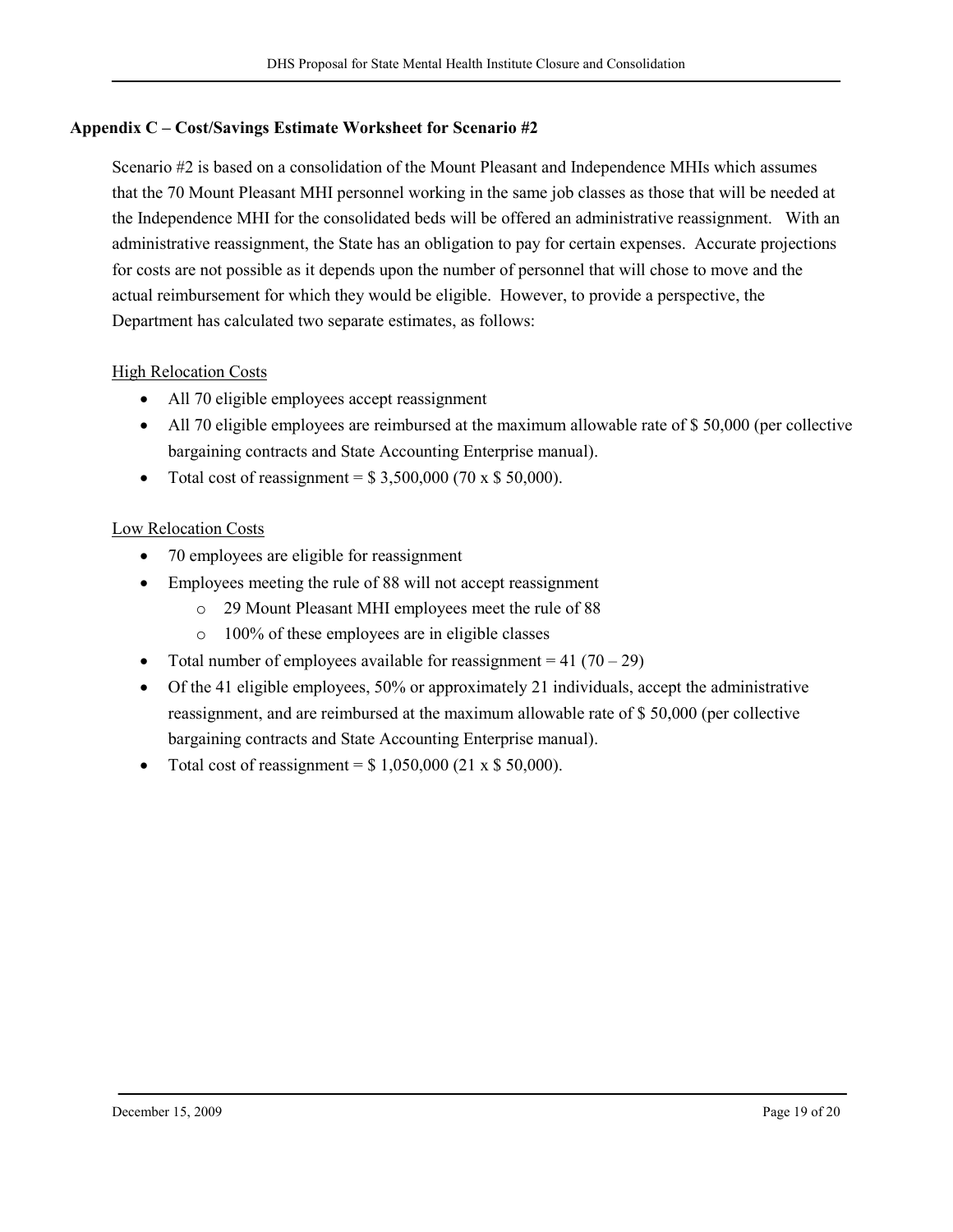# Appendix C – Cost/Savings Estimate Worksheet for Scenario #2

Scenario #2 is based on a consolidation of the Mount Pleasant and Independence MHIs which assumes that the 70 Mount Pleasant MHI personnel working in the same job classes as those that will be needed at the Independence MHI for the consolidated beds will be offered an administrative reassignment. With an administrative reassignment, the State has an obligation to pay for certain expenses. Accurate projections for costs are not possible as it depends upon the number of personnel that will chose to move and the actual reimbursement for which they would be eligible. However, to provide a perspective, the Department has calculated two separate estimates, as follows:

## High Relocation Costs

- All 70 eligible employees accept reassignment
- All 70 eligible employees are reimbursed at the maximum allowable rate of \$50,000 (per collective bargaining contracts and State Accounting Enterprise manual).
- Total cost of reassignment =  $$3,500,000 (70 \times $50,000)$ .

# Low Relocation Costs

- 70 employees are eligible for reassignment
- Employees meeting the rule of 88 will not accept reassignment
	- o 29 Mount Pleasant MHI employees meet the rule of 88
	- o 100% of these employees are in eligible classes
- Total number of employees available for reassignment =  $41 (70 29)$
- Of the 41 eligible employees, 50% or approximately 21 individuals, accept the administrative reassignment, and are reimbursed at the maximum allowable rate of \$ 50,000 (per collective bargaining contracts and State Accounting Enterprise manual).
- Total cost of reassignment =  $$1,050,000 (21 \times $50,000)$ .